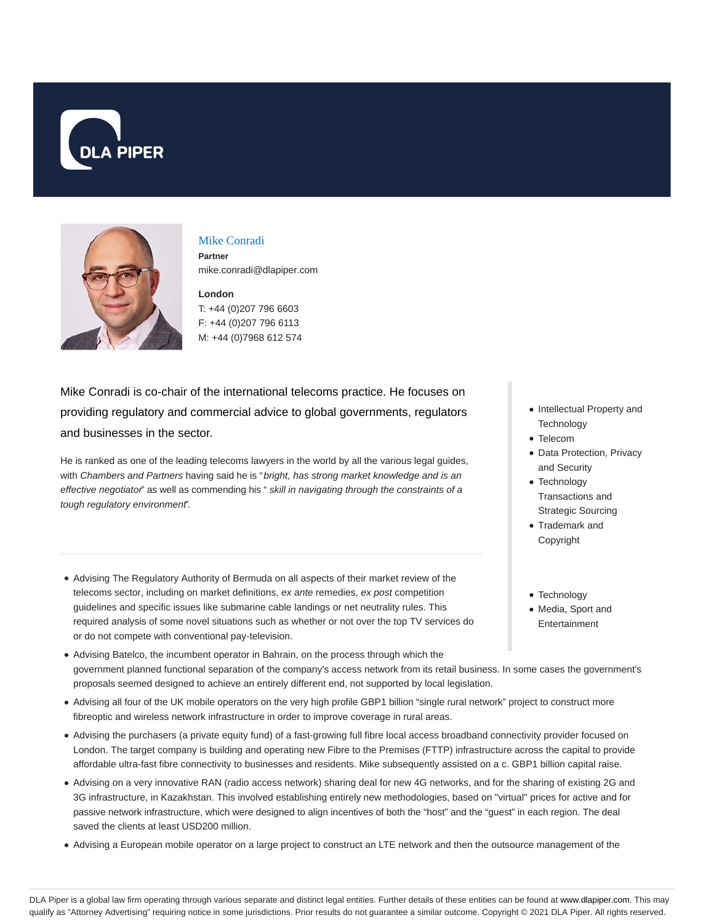



### Mike Conradi

**Partner** mike.conradi@dlapiper.com

## **London** T: +44 (0)207 796 6603 F: +44 (0)207 796 6113

M: +44 (0)7968 612 574

Mike Conradi is co-chair of the international telecoms practice. He focuses on providing regulatory and commercial advice to global governments, regulators and businesses in the sector.

He is ranked as one of the leading telecoms lawyers in the world by all the various legal guides, with Chambers and Partners having said he is "bright, has strong market knowledge and is an effective negotiator" as well as commending his " skill in navigating through the constraints of a tough regulatory environment".

- Advising The Regulatory Authority of Bermuda on all aspects of their market review of the telecoms sector, including on market definitions, ex ante remedies, ex post competition guidelines and specific issues like submarine cable landings or net neutrality rules. This required analysis of some novel situations such as whether or not over the top TV services do or do not compete with conventional pay-television.
- Advising Batelco, the incumbent operator in Bahrain, on the process through which the government planned functional separation of the company's access network from its retail business. In some cases the government's proposals seemed designed to achieve an entirely different end, not supported by local legislation.
- Advising all four of the UK mobile operators on the very high profile GBP1 billion "single rural network" project to construct more fibreoptic and wireless network infrastructure in order to improve coverage in rural areas.
- Advising the purchasers (a private equity fund) of a fast-growing full fibre local access broadband connectivity provider focused on London. The target company is building and operating new Fibre to the Premises (FTTP) infrastructure across the capital to provide affordable ultra-fast fibre connectivity to businesses and residents. Mike subsequently assisted on a c. GBP1 billion capital raise.
- Advising on a very innovative RAN (radio access network) sharing deal for new 4G networks, and for the sharing of existing 2G and 3G infrastructure, in Kazakhstan. This involved establishing entirely new methodologies, based on "virtual" prices for active and for passive network infrastructure, which were designed to align incentives of both the "host" and the "guest" in each region. The deal saved the clients at least USD200 million.
- Advising a European mobile operator on a large project to construct an LTE network and then the outsource management of the
- Intellectual Property and **Technology**
- Telecom
- Data Protection, Privacy and Security
- Technology Transactions and Strategic Sourcing
- Trademark and Copyright
- Technology
- Media, Sport and
- Entertainment

DLA Piper is a global law firm operating through various separate and distinct legal entities. Further details of these entities can be found at www.dlapiper.com. This may qualify as "Attorney Advertising" requiring notice in some jurisdictions. Prior results do not guarantee a similar outcome. Copyright @ 2021 DLA Piper. All rights reserved.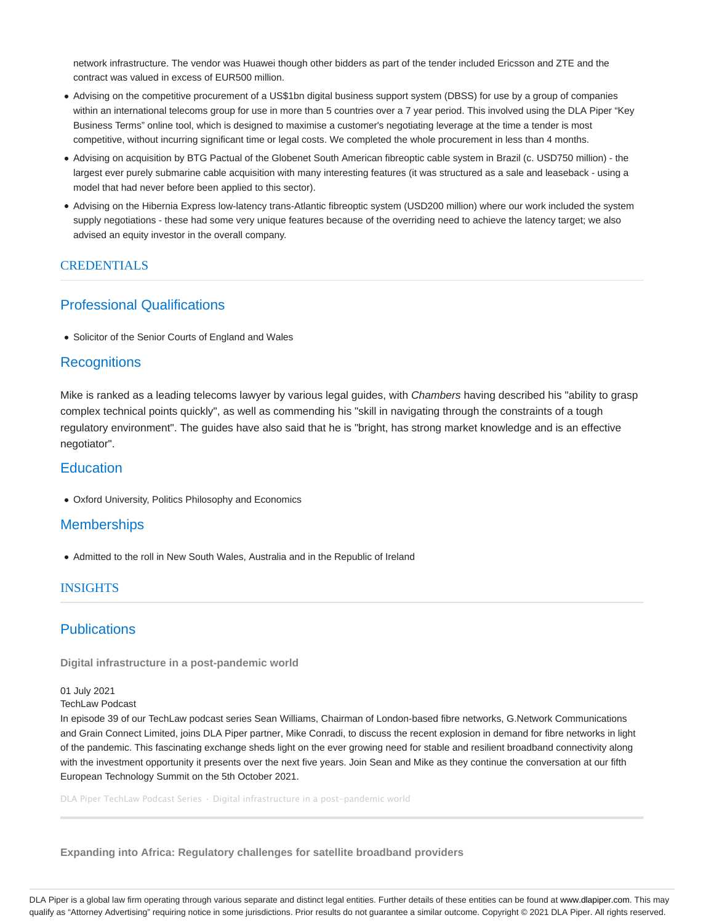network infrastructure. The vendor was Huawei though other bidders as part of the tender included Ericsson and ZTE and the contract was valued in excess of EUR500 million.

- Advising on the competitive procurement of a US\$1bn digital business support system (DBSS) for use by a group of companies within an international telecoms group for use in more than 5 countries over a 7 year period. This involved using the DLA Piper "Key Business Terms" online tool, which is designed to maximise a customer's negotiating leverage at the time a tender is most competitive, without incurring significant time or legal costs. We completed the whole procurement in less than 4 months.
- Advising on acquisition by BTG Pactual of the Globenet South American fibreoptic cable system in Brazil (c. USD750 million) the largest ever purely submarine cable acquisition with many interesting features (it was structured as a sale and leaseback - using a model that had never before been applied to this sector).
- Advising on the Hibernia Express low-latency trans-Atlantic fibreoptic system (USD200 million) where our work included the system supply negotiations - these had some very unique features because of the overriding need to achieve the latency target; we also advised an equity investor in the overall company.

#### CREDENTIALS

#### Professional Qualifications

Solicitor of the Senior Courts of England and Wales

## **Recognitions**

Mike is ranked as a leading telecoms lawyer by various legal guides, with Chambers having described his "ability to grasp complex technical points quickly", as well as commending his "skill in navigating through the constraints of a tough regulatory environment". The guides have also said that he is "bright, has strong market knowledge and is an effective negotiator".

# **Education**

Oxford University, Politics Philosophy and Economics

### **Memberships**

Admitted to the roll in New South Wales, Australia and in the Republic of Ireland

### **INSIGHTS**

# **Publications**

**Digital infrastructure in a post-pandemic world**

01 July 2021

TechLaw Podcast

In episode 39 of our TechLaw podcast series Sean Williams, Chairman of London-based fibre networks, G.Network Communications and Grain Connect Limited, joins DLA Piper partner, Mike Conradi, to discuss the recent explosion in demand for fibre networks in light of the pandemic. This fascinating exchange sheds light on the ever growing need for stable and resilient broadband connectivity along with the investment opportunity it presents over the next five years. Join Sean and Mike as they continue the conversation at our fifth European Technology Summit on the 5th October 2021.

DLA Piper TechLaw Podcast Series · Digital infrastructure in a post-pandemic world

**Expanding into Africa: Regulatory challenges for satellite broadband providers**

DLA Piper is a global law firm operating through various separate and distinct legal entities. Further details of these entities can be found at www.dlapiper.com. This may qualify as "Attorney Advertising" requiring notice in some jurisdictions. Prior results do not guarantee a similar outcome. Copyright @ 2021 DLA Piper. All rights reserved.